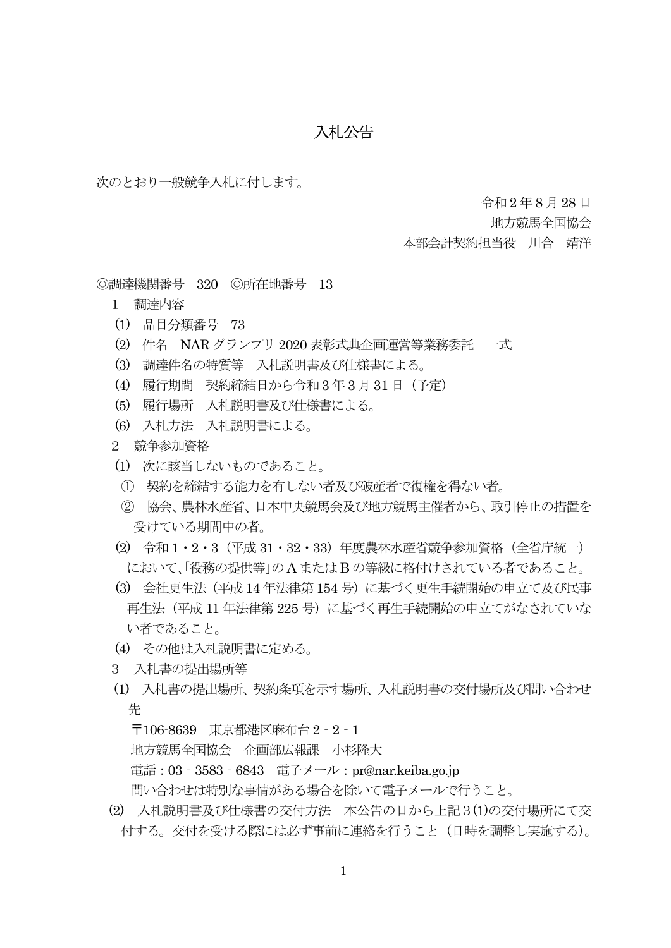## 入札公告

次のとおり一般競争入札に付します。

令和 2 年8 月28 日

地方競馬全国協会

本部会計契約担当役 川合 靖洋

◎調達機関番号 320 ◎所在地番号 13

- 1 調達内容
- (1) 品目分類番号 73
- (2) 件名 NAR グランプリ 2020 表彰式典企画運営等業務委託 一式
- (3) 調達件名の特質等 入札説明書及び仕様書による。
- (4) 履行期間 契約締結日から令和3 年 3 月31 日(予定)
- (5) 履行場所 入札説明書及び仕様書による。
- (6) 入札方法 入札説明書による。

2 競争参加資格

- (1) 次に該当しないものであること。
- ① 契約を締結する能力を有しない者及び破産者で復権を得ない者。
- ② 協会、農林水産省、日本中央競馬会及び地方競馬主催者から、取引停止の措置を 受けている期間中の者。
- (2) 令和 1・2・3(平成 31・32・33)年度農林水産省競争参加資格(全省庁統一) において、「役務の提供等」のA またはB の等級に格付けされている者であること。
- (3) 会社更生法(平成14 年法律第154 号)に基づく更生手続開始の申立て及び民事 再生法(平成 11 年法律第 225 号)に基づく再生手続開始の申立てがなされていな い者であること。
- (4) その他は入札説明書に定める。
- 3 入札書の提出場所等
- (1) 入札書の提出場所、契約条項を示す場所、入札説明書の交付場所及び問い合わせ 先

〒106-8639 東京都港区麻布台 2‐2‐1

地方競馬全国協会 企画部広報課 小杉隆大

電話:03‐3583‐6843 電子メール:pr@nar.keiba.go.jp

問い合わせは特別な事情がある場合を除いて電子メールで行うこと。

(2) 入札説明書及び仕様書の交付方法 本公告の日から上記3(1)の交付場所にて交 付する。交付を受ける際には必ず事前に連絡を行うこと(日時を調整し実施する)。